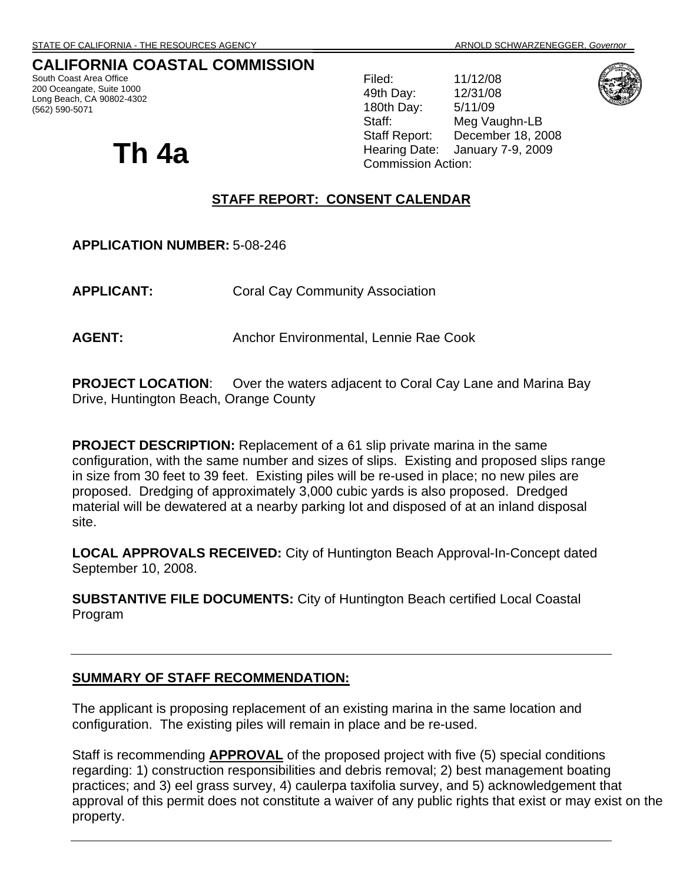## **CALIFORNIA COASTAL COMMISSION**

South Coast Area Office 200 Oceangate, Suite 1000 Long Beach, CA 90802-4302 (562) 590-5071

Filed: 11/12/08 49th Day: 12/31/08 180th Day: 5/11/09 Staff: Meg Vaughn-LB Staff Report: December 18, 2008 **Th 4a Hearing Date:** January 7-9, 2009 **Commission Action:** 

## **STAFF REPORT: CONSENT CALENDAR**

**APPLICATION NUMBER:** 5-08-246

**APPLICANT:** Coral Cay Community Association

AGENT: Anchor Environmental, Lennie Rae Cook

**PROJECT LOCATION:** Over the waters adjacent to Coral Cay Lane and Marina Bay Drive, Huntington Beach, Orange County

**PROJECT DESCRIPTION:** Replacement of a 61 slip private marina in the same configuration, with the same number and sizes of slips. Existing and proposed slips range in size from 30 feet to 39 feet. Existing piles will be re-used in place; no new piles are proposed. Dredging of approximately 3,000 cubic yards is also proposed. Dredged material will be dewatered at a nearby parking lot and disposed of at an inland disposal site.

**LOCAL APPROVALS RECEIVED:** City of Huntington Beach Approval-In-Concept dated September 10, 2008.

**SUBSTANTIVE FILE DOCUMENTS:** City of Huntington Beach certified Local Coastal Program

## **SUMMARY OF STAFF RECOMMENDATION:**

The applicant is proposing replacement of an existing marina in the same location and configuration. The existing piles will remain in place and be re-used.

Staff is recommending **APPROVAL** of the proposed project with five (5) special conditions regarding: 1) construction responsibilities and debris removal; 2) best management boating practices; and 3) eel grass survey, 4) caulerpa taxifolia survey, and 5) acknowledgement that approval of this permit does not constitute a waiver of any public rights that exist or may exist on the property.

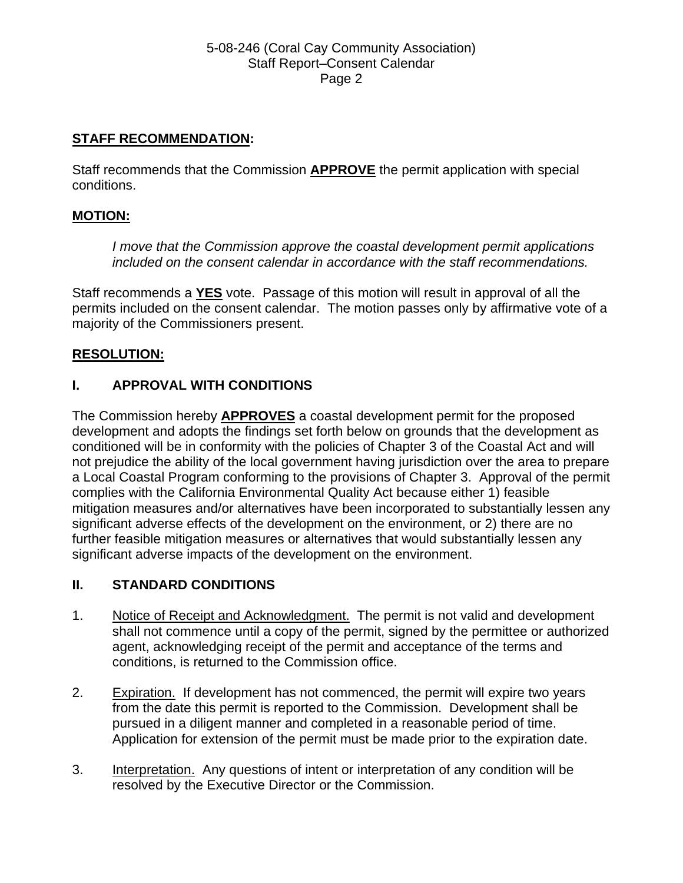## **STAFF RECOMMENDATION:**

Staff recommends that the Commission **APPROVE** the permit application with special conditions.

## **MOTION:**

*I move that the Commission approve the coastal development permit applications included on the consent calendar in accordance with the staff recommendations.*

Staff recommends a **YES** vote. Passage of this motion will result in approval of all the permits included on the consent calendar. The motion passes only by affirmative vote of a majority of the Commissioners present.

## **RESOLUTION:**

## **I. APPROVAL WITH CONDITIONS**

The Commission hereby **APPROVES** a coastal development permit for the proposed development and adopts the findings set forth below on grounds that the development as conditioned will be in conformity with the policies of Chapter 3 of the Coastal Act and will not prejudice the ability of the local government having jurisdiction over the area to prepare a Local Coastal Program conforming to the provisions of Chapter 3. Approval of the permit complies with the California Environmental Quality Act because either 1) feasible mitigation measures and/or alternatives have been incorporated to substantially lessen any significant adverse effects of the development on the environment, or 2) there are no further feasible mitigation measures or alternatives that would substantially lessen any significant adverse impacts of the development on the environment.

## **II. STANDARD CONDITIONS**

- 1. Notice of Receipt and Acknowledgment. The permit is not valid and development shall not commence until a copy of the permit, signed by the permittee or authorized agent, acknowledging receipt of the permit and acceptance of the terms and conditions, is returned to the Commission office.
- 2. Expiration. If development has not commenced, the permit will expire two years from the date this permit is reported to the Commission. Development shall be pursued in a diligent manner and completed in a reasonable period of time. Application for extension of the permit must be made prior to the expiration date.
- 3. Interpretation. Any questions of intent or interpretation of any condition will be resolved by the Executive Director or the Commission.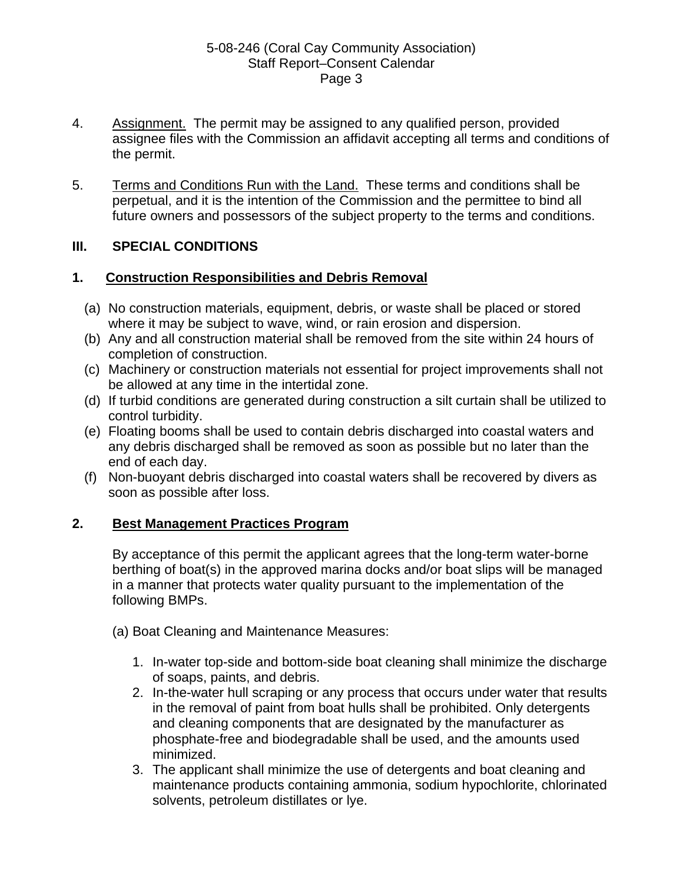- 4. Assignment. The permit may be assigned to any qualified person, provided assignee files with the Commission an affidavit accepting all terms and conditions of the permit.
- 5. Terms and Conditions Run with the Land. These terms and conditions shall be perpetual, and it is the intention of the Commission and the permittee to bind all future owners and possessors of the subject property to the terms and conditions.

## **III. SPECIAL CONDITIONS**

## **1. Construction Responsibilities and Debris Removal**

- (a) No construction materials, equipment, debris, or waste shall be placed or stored where it may be subject to wave, wind, or rain erosion and dispersion.
- (b) Any and all construction material shall be removed from the site within 24 hours of completion of construction.
- (c) Machinery or construction materials not essential for project improvements shall not be allowed at any time in the intertidal zone.
- (d) If turbid conditions are generated during construction a silt curtain shall be utilized to control turbidity.
- (e) Floating booms shall be used to contain debris discharged into coastal waters and any debris discharged shall be removed as soon as possible but no later than the end of each day.
- (f) Non-buoyant debris discharged into coastal waters shall be recovered by divers as soon as possible after loss.

## **2. Best Management Practices Program**

By acceptance of this permit the applicant agrees that the long-term water-borne berthing of boat(s) in the approved marina docks and/or boat slips will be managed in a manner that protects water quality pursuant to the implementation of the following BMPs.

- (a) Boat Cleaning and Maintenance Measures:
	- 1. In-water top-side and bottom-side boat cleaning shall minimize the discharge of soaps, paints, and debris.
	- 2. In-the-water hull scraping or any process that occurs under water that results in the removal of paint from boat hulls shall be prohibited. Only detergents and cleaning components that are designated by the manufacturer as phosphate-free and biodegradable shall be used, and the amounts used minimized.
	- 3. The applicant shall minimize the use of detergents and boat cleaning and maintenance products containing ammonia, sodium hypochlorite, chlorinated solvents, petroleum distillates or lye.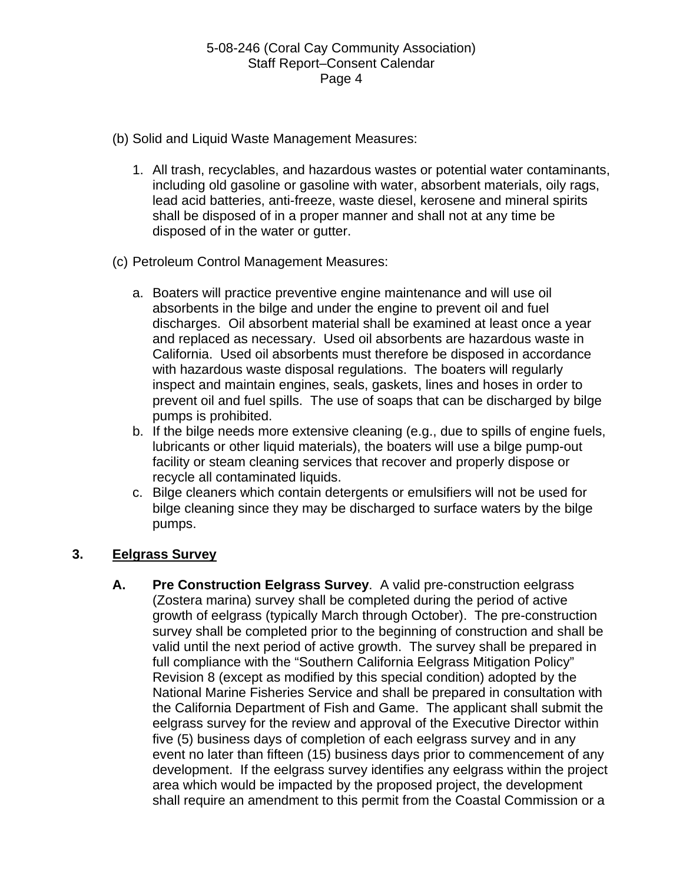- (b) Solid and Liquid Waste Management Measures:
	- 1. All trash, recyclables, and hazardous wastes or potential water contaminants, including old gasoline or gasoline with water, absorbent materials, oily rags, lead acid batteries, anti-freeze, waste diesel, kerosene and mineral spirits shall be disposed of in a proper manner and shall not at any time be disposed of in the water or gutter.
- (c) Petroleum Control Management Measures:
	- a. Boaters will practice preventive engine maintenance and will use oil absorbents in the bilge and under the engine to prevent oil and fuel discharges. Oil absorbent material shall be examined at least once a year and replaced as necessary. Used oil absorbents are hazardous waste in California. Used oil absorbents must therefore be disposed in accordance with hazardous waste disposal regulations. The boaters will regularly inspect and maintain engines, seals, gaskets, lines and hoses in order to prevent oil and fuel spills. The use of soaps that can be discharged by bilge pumps is prohibited.
	- b. If the bilge needs more extensive cleaning (e.g., due to spills of engine fuels, lubricants or other liquid materials), the boaters will use a bilge pump-out facility or steam cleaning services that recover and properly dispose or recycle all contaminated liquids.
	- c. Bilge cleaners which contain detergents or emulsifiers will not be used for bilge cleaning since they may be discharged to surface waters by the bilge pumps.

## **3. Eelgrass Survey**

**A. Pre Construction Eelgrass Survey**. A valid pre-construction eelgrass (Zostera marina) survey shall be completed during the period of active growth of eelgrass (typically March through October). The pre-construction survey shall be completed prior to the beginning of construction and shall be valid until the next period of active growth. The survey shall be prepared in full compliance with the "Southern California Eelgrass Mitigation Policy" Revision 8 (except as modified by this special condition) adopted by the National Marine Fisheries Service and shall be prepared in consultation with the California Department of Fish and Game. The applicant shall submit the eelgrass survey for the review and approval of the Executive Director within five (5) business days of completion of each eelgrass survey and in any event no later than fifteen (15) business days prior to commencement of any development. If the eelgrass survey identifies any eelgrass within the project area which would be impacted by the proposed project, the development shall require an amendment to this permit from the Coastal Commission or a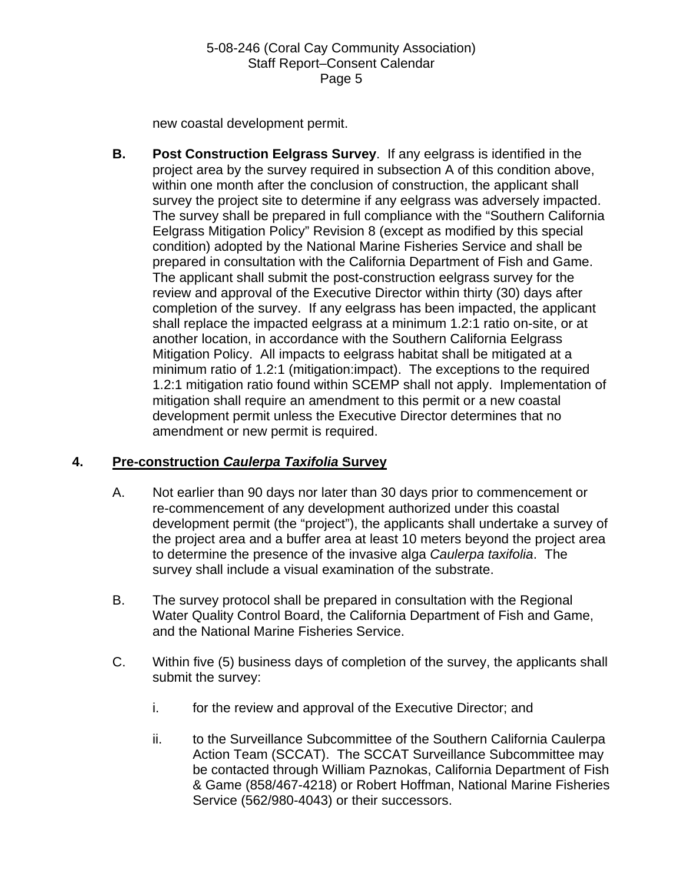new coastal development permit.

**B. Post Construction Eelgrass Survey**. If any eelgrass is identified in the project area by the survey required in subsection A of this condition above, within one month after the conclusion of construction, the applicant shall survey the project site to determine if any eelgrass was adversely impacted. The survey shall be prepared in full compliance with the "Southern California Eelgrass Mitigation Policy" Revision 8 (except as modified by this special condition) adopted by the National Marine Fisheries Service and shall be prepared in consultation with the California Department of Fish and Game. The applicant shall submit the post-construction eelgrass survey for the review and approval of the Executive Director within thirty (30) days after completion of the survey. If any eelgrass has been impacted, the applicant shall replace the impacted eelgrass at a minimum 1.2:1 ratio on-site, or at another location, in accordance with the Southern California Eelgrass Mitigation Policy. All impacts to eelgrass habitat shall be mitigated at a minimum ratio of 1.2:1 (mitigation:impact). The exceptions to the required 1.2:1 mitigation ratio found within SCEMP shall not apply. Implementation of mitigation shall require an amendment to this permit or a new coastal development permit unless the Executive Director determines that no amendment or new permit is required.

## **4. Pre-construction** *Caulerpa Taxifolia* **Survey**

- A. Not earlier than 90 days nor later than 30 days prior to commencement or re-commencement of any development authorized under this coastal development permit (the "project"), the applicants shall undertake a survey of the project area and a buffer area at least 10 meters beyond the project area to determine the presence of the invasive alga *Caulerpa taxifolia*. The survey shall include a visual examination of the substrate.
- B. The survey protocol shall be prepared in consultation with the Regional Water Quality Control Board, the California Department of Fish and Game, and the National Marine Fisheries Service.
- C. Within five (5) business days of completion of the survey, the applicants shall submit the survey:
	- i. for the review and approval of the Executive Director; and
	- ii. to the Surveillance Subcommittee of the Southern California Caulerpa Action Team (SCCAT). The SCCAT Surveillance Subcommittee may be contacted through William Paznokas, California Department of Fish & Game (858/467-4218) or Robert Hoffman, National Marine Fisheries Service (562/980-4043) or their successors.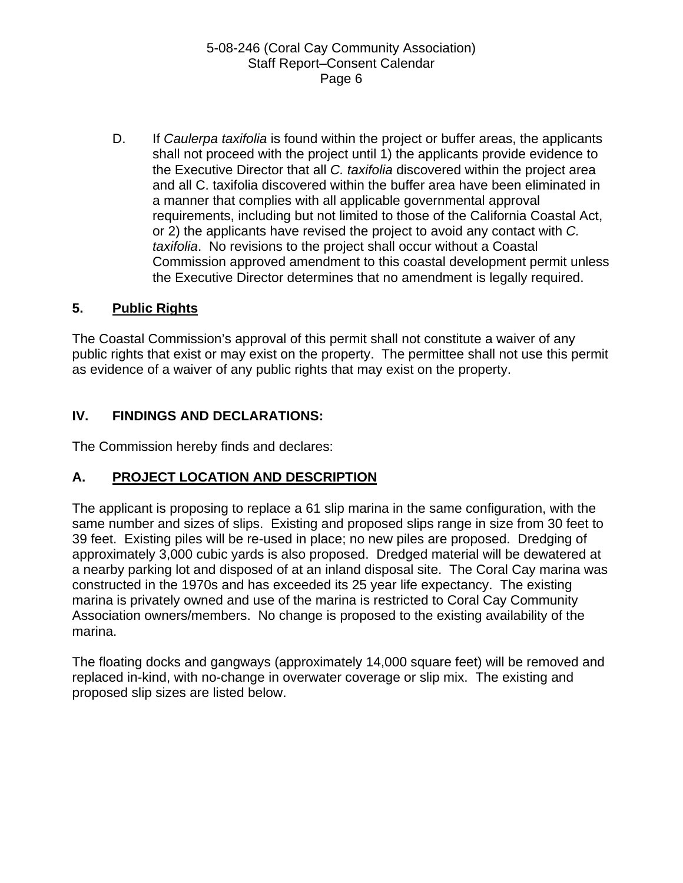D. If *Caulerpa taxifolia* is found within the project or buffer areas, the applicants shall not proceed with the project until 1) the applicants provide evidence to the Executive Director that all *C. taxifolia* discovered within the project area and all C. taxifolia discovered within the buffer area have been eliminated in a manner that complies with all applicable governmental approval requirements, including but not limited to those of the California Coastal Act, or 2) the applicants have revised the project to avoid any contact with *C. taxifolia*. No revisions to the project shall occur without a Coastal Commission approved amendment to this coastal development permit unless the Executive Director determines that no amendment is legally required.

## **5. Public Rights**

The Coastal Commission's approval of this permit shall not constitute a waiver of any public rights that exist or may exist on the property. The permittee shall not use this permit as evidence of a waiver of any public rights that may exist on the property.

## **IV. FINDINGS AND DECLARATIONS:**

The Commission hereby finds and declares:

## **A. PROJECT LOCATION AND DESCRIPTION**

The applicant is proposing to replace a 61 slip marina in the same configuration, with the same number and sizes of slips. Existing and proposed slips range in size from 30 feet to 39 feet. Existing piles will be re-used in place; no new piles are proposed. Dredging of approximately 3,000 cubic yards is also proposed. Dredged material will be dewatered at a nearby parking lot and disposed of at an inland disposal site. The Coral Cay marina was constructed in the 1970s and has exceeded its 25 year life expectancy. The existing marina is privately owned and use of the marina is restricted to Coral Cay Community Association owners/members. No change is proposed to the existing availability of the marina.

The floating docks and gangways (approximately 14,000 square feet) will be removed and replaced in-kind, with no-change in overwater coverage or slip mix. The existing and proposed slip sizes are listed below.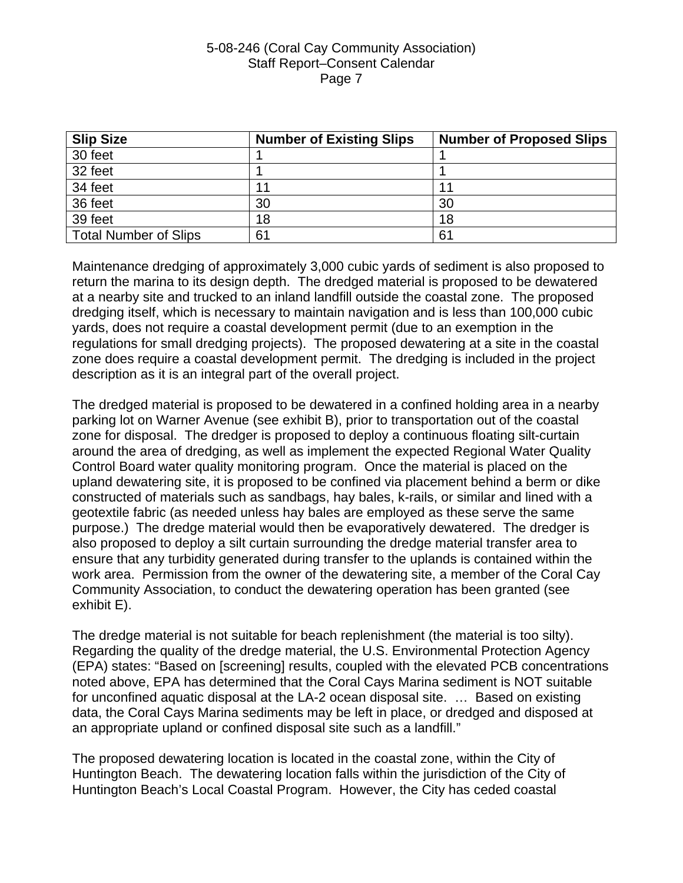| <b>Slip Size</b>             | <b>Number of Existing Slips</b> | <b>Number of Proposed Slips</b> |
|------------------------------|---------------------------------|---------------------------------|
| 30 feet                      |                                 |                                 |
| 32 feet                      |                                 |                                 |
| 34 feet                      | 11                              |                                 |
| 36 feet                      | 30                              | 30                              |
| 39 feet                      | 18                              | 18                              |
| <b>Total Number of Slips</b> | 61                              | 61                              |

Maintenance dredging of approximately 3,000 cubic yards of sediment is also proposed to return the marina to its design depth. The dredged material is proposed to be dewatered at a nearby site and trucked to an inland landfill outside the coastal zone. The proposed dredging itself, which is necessary to maintain navigation and is less than 100,000 cubic yards, does not require a coastal development permit (due to an exemption in the regulations for small dredging projects). The proposed dewatering at a site in the coastal zone does require a coastal development permit. The dredging is included in the project description as it is an integral part of the overall project.

The dredged material is proposed to be dewatered in a confined holding area in a nearby parking lot on Warner Avenue (see exhibit B), prior to transportation out of the coastal zone for disposal. The dredger is proposed to deploy a continuous floating silt-curtain around the area of dredging, as well as implement the expected Regional Water Quality Control Board water quality monitoring program. Once the material is placed on the upland dewatering site, it is proposed to be confined via placement behind a berm or dike constructed of materials such as sandbags, hay bales, k-rails, or similar and lined with a geotextile fabric (as needed unless hay bales are employed as these serve the same purpose.) The dredge material would then be evaporatively dewatered. The dredger is also proposed to deploy a silt curtain surrounding the dredge material transfer area to ensure that any turbidity generated during transfer to the uplands is contained within the work area. Permission from the owner of the dewatering site, a member of the Coral Cay Community Association, to conduct the dewatering operation has been granted (see exhibit E).

The dredge material is not suitable for beach replenishment (the material is too silty). Regarding the quality of the dredge material, the U.S. Environmental Protection Agency (EPA) states: "Based on [screening] results, coupled with the elevated PCB concentrations noted above, EPA has determined that the Coral Cays Marina sediment is NOT suitable for unconfined aquatic disposal at the LA-2 ocean disposal site. … Based on existing data, the Coral Cays Marina sediments may be left in place, or dredged and disposed at an appropriate upland or confined disposal site such as a landfill."

The proposed dewatering location is located in the coastal zone, within the City of Huntington Beach. The dewatering location falls within the jurisdiction of the City of Huntington Beach's Local Coastal Program. However, the City has ceded coastal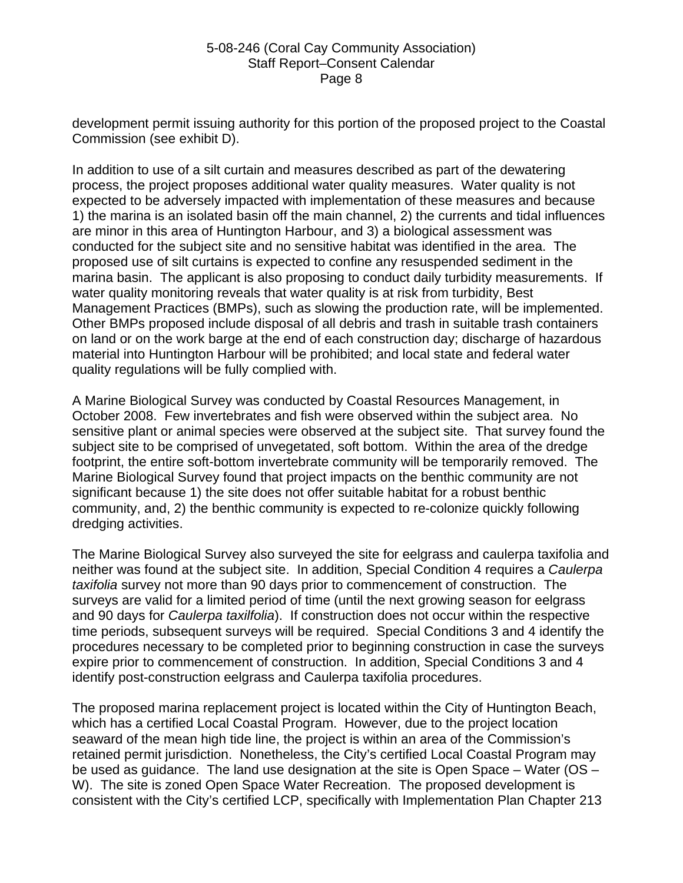development permit issuing authority for this portion of the proposed project to the Coastal Commission (see exhibit D).

In addition to use of a silt curtain and measures described as part of the dewatering process, the project proposes additional water quality measures. Water quality is not expected to be adversely impacted with implementation of these measures and because 1) the marina is an isolated basin off the main channel, 2) the currents and tidal influences are minor in this area of Huntington Harbour, and 3) a biological assessment was conducted for the subject site and no sensitive habitat was identified in the area. The proposed use of silt curtains is expected to confine any resuspended sediment in the marina basin. The applicant is also proposing to conduct daily turbidity measurements. If water quality monitoring reveals that water quality is at risk from turbidity, Best Management Practices (BMPs), such as slowing the production rate, will be implemented. Other BMPs proposed include disposal of all debris and trash in suitable trash containers on land or on the work barge at the end of each construction day; discharge of hazardous material into Huntington Harbour will be prohibited; and local state and federal water quality regulations will be fully complied with.

A Marine Biological Survey was conducted by Coastal Resources Management, in October 2008. Few invertebrates and fish were observed within the subject area. No sensitive plant or animal species were observed at the subject site. That survey found the subject site to be comprised of unvegetated, soft bottom. Within the area of the dredge footprint, the entire soft-bottom invertebrate community will be temporarily removed. The Marine Biological Survey found that project impacts on the benthic community are not significant because 1) the site does not offer suitable habitat for a robust benthic community, and, 2) the benthic community is expected to re-colonize quickly following dredging activities.

The Marine Biological Survey also surveyed the site for eelgrass and caulerpa taxifolia and neither was found at the subject site. In addition, Special Condition 4 requires a *Caulerpa taxifolia* survey not more than 90 days prior to commencement of construction. The surveys are valid for a limited period of time (until the next growing season for eelgrass and 90 days for *Caulerpa taxilfolia*). If construction does not occur within the respective time periods, subsequent surveys will be required. Special Conditions 3 and 4 identify the procedures necessary to be completed prior to beginning construction in case the surveys expire prior to commencement of construction. In addition, Special Conditions 3 and 4 identify post-construction eelgrass and Caulerpa taxifolia procedures.

The proposed marina replacement project is located within the City of Huntington Beach, which has a certified Local Coastal Program. However, due to the project location seaward of the mean high tide line, the project is within an area of the Commission's retained permit jurisdiction. Nonetheless, the City's certified Local Coastal Program may be used as guidance. The land use designation at the site is Open Space – Water (OS – W). The site is zoned Open Space Water Recreation. The proposed development is consistent with the City's certified LCP, specifically with Implementation Plan Chapter 213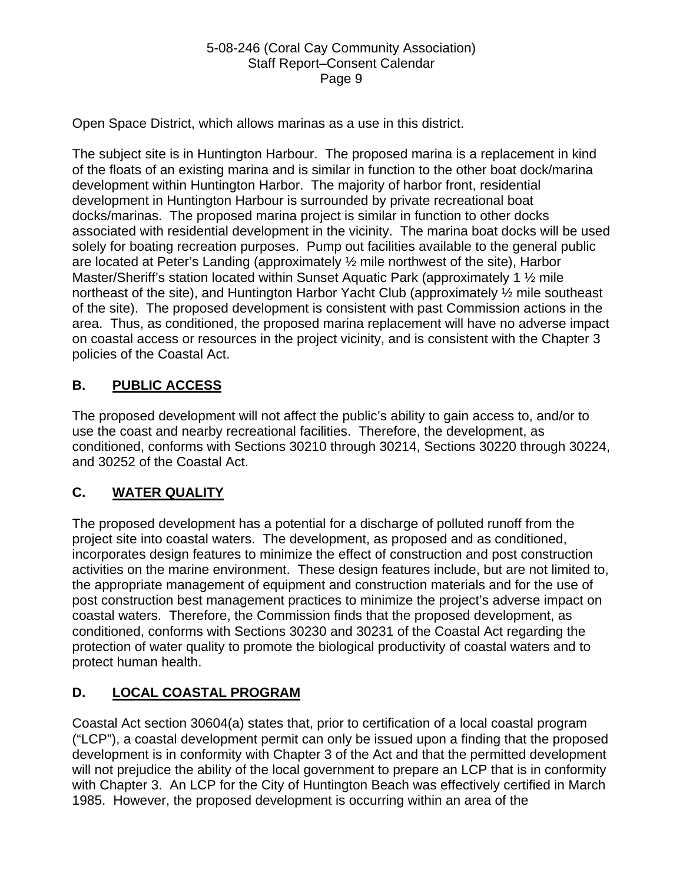Open Space District, which allows marinas as a use in this district.

The subject site is in Huntington Harbour. The proposed marina is a replacement in kind of the floats of an existing marina and is similar in function to the other boat dock/marina development within Huntington Harbor. The majority of harbor front, residential development in Huntington Harbour is surrounded by private recreational boat docks/marinas. The proposed marina project is similar in function to other docks associated with residential development in the vicinity. The marina boat docks will be used solely for boating recreation purposes. Pump out facilities available to the general public are located at Peter's Landing (approximately ½ mile northwest of the site), Harbor Master/Sheriff's station located within Sunset Aquatic Park (approximately 1  $\frac{1}{2}$  mile northeast of the site), and Huntington Harbor Yacht Club (approximately ½ mile southeast of the site). The proposed development is consistent with past Commission actions in the area. Thus, as conditioned, the proposed marina replacement will have no adverse impact on coastal access or resources in the project vicinity, and is consistent with the Chapter 3 policies of the Coastal Act.

## **B. PUBLIC ACCESS**

The proposed development will not affect the public's ability to gain access to, and/or to use the coast and nearby recreational facilities. Therefore, the development, as conditioned, conforms with Sections 30210 through 30214, Sections 30220 through 30224, and 30252 of the Coastal Act.

# **C. WATER QUALITY**

The proposed development has a potential for a discharge of polluted runoff from the project site into coastal waters. The development, as proposed and as conditioned, incorporates design features to minimize the effect of construction and post construction activities on the marine environment. These design features include, but are not limited to, the appropriate management of equipment and construction materials and for the use of post construction best management practices to minimize the project's adverse impact on coastal waters. Therefore, the Commission finds that the proposed development, as conditioned, conforms with Sections 30230 and 30231 of the Coastal Act regarding the protection of water quality to promote the biological productivity of coastal waters and to protect human health.

# **D. LOCAL COASTAL PROGRAM**

Coastal Act section 30604(a) states that, prior to certification of a local coastal program ("LCP"), a coastal development permit can only be issued upon a finding that the proposed development is in conformity with Chapter 3 of the Act and that the permitted development will not prejudice the ability of the local government to prepare an LCP that is in conformity with Chapter 3. An LCP for the City of Huntington Beach was effectively certified in March 1985. However, the proposed development is occurring within an area of the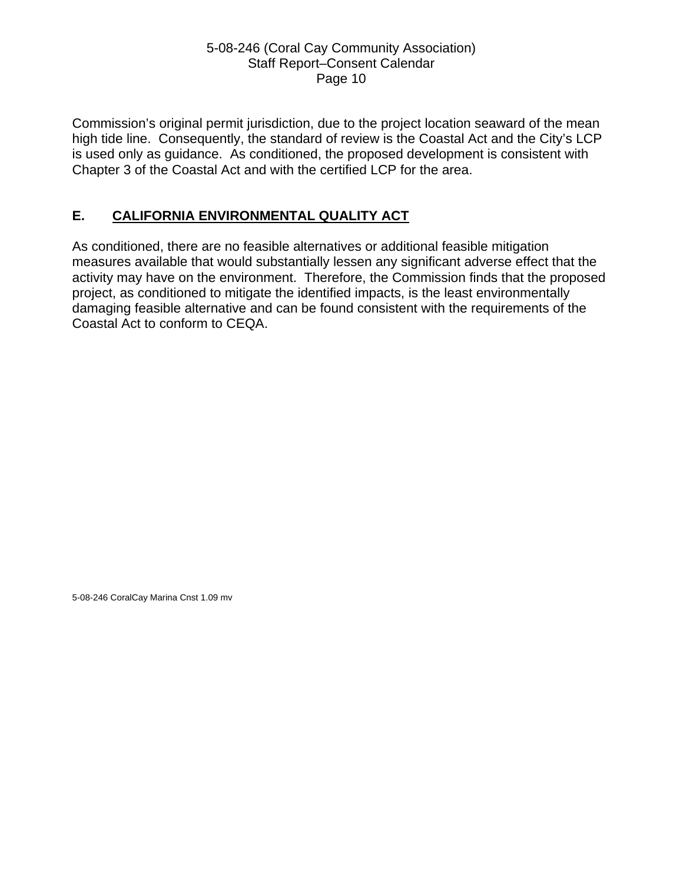Commission's original permit jurisdiction, due to the project location seaward of the mean high tide line. Consequently, the standard of review is the Coastal Act and the City's LCP is used only as guidance. As conditioned, the proposed development is consistent with Chapter 3 of the Coastal Act and with the certified LCP for the area.

## **E. CALIFORNIA ENVIRONMENTAL QUALITY ACT**

As conditioned, there are no feasible alternatives or additional feasible mitigation measures available that would substantially lessen any significant adverse effect that the activity may have on the environment. Therefore, the Commission finds that the proposed project, as conditioned to mitigate the identified impacts, is the least environmentally damaging feasible alternative and can be found consistent with the requirements of the Coastal Act to conform to CEQA.

5-08-246 CoralCay Marina Cnst 1.09 mv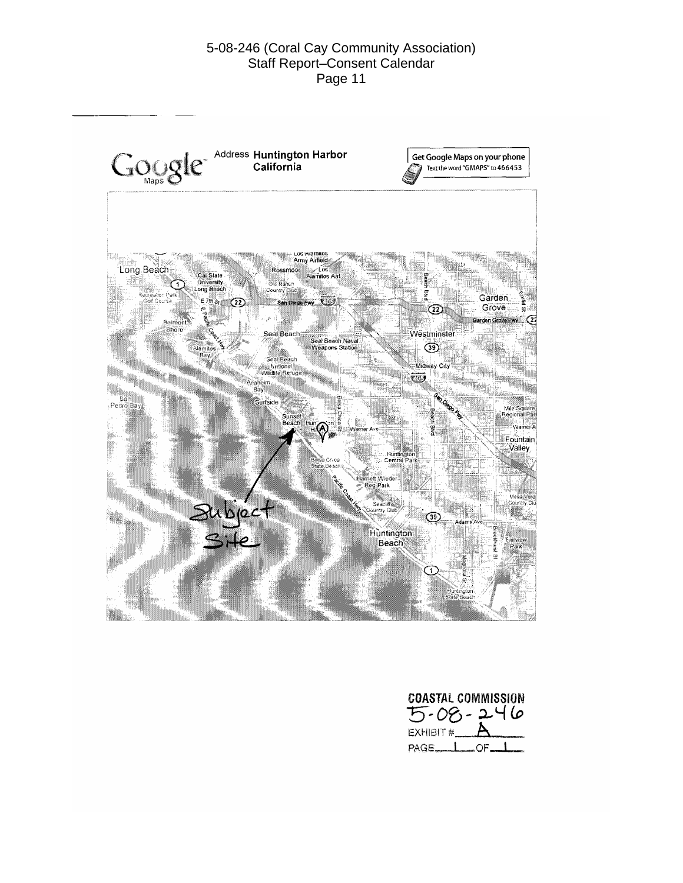

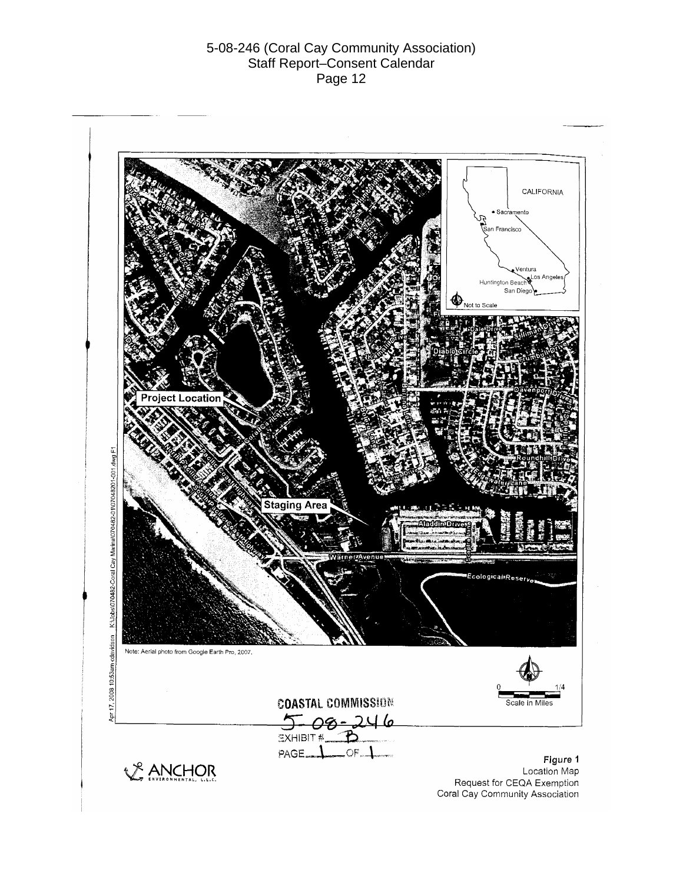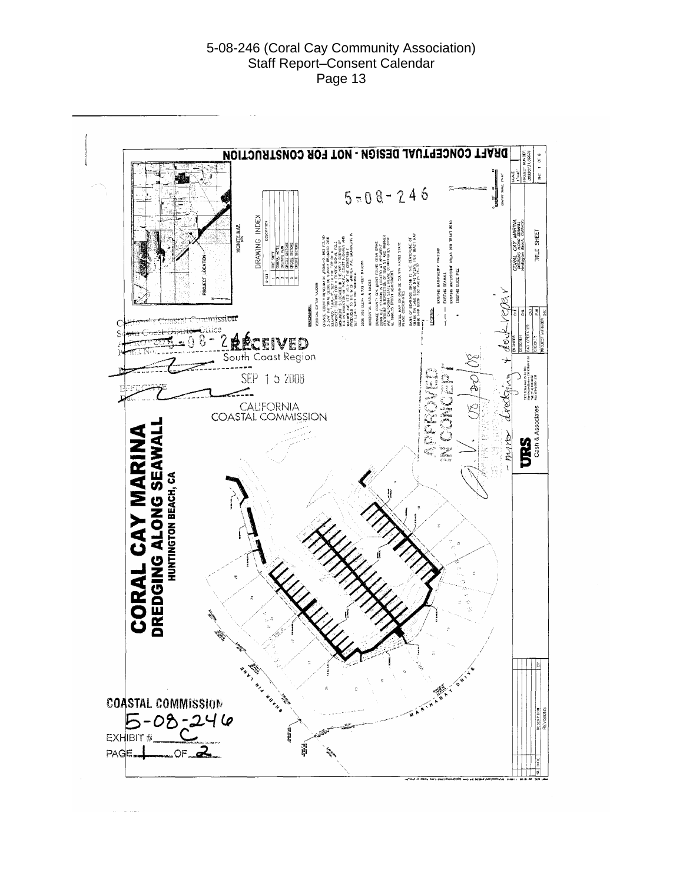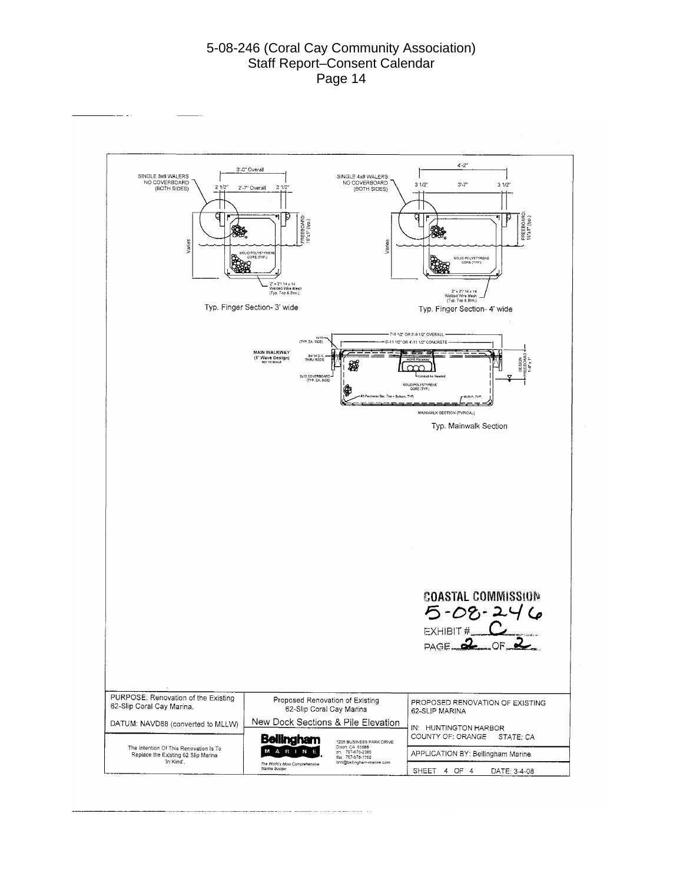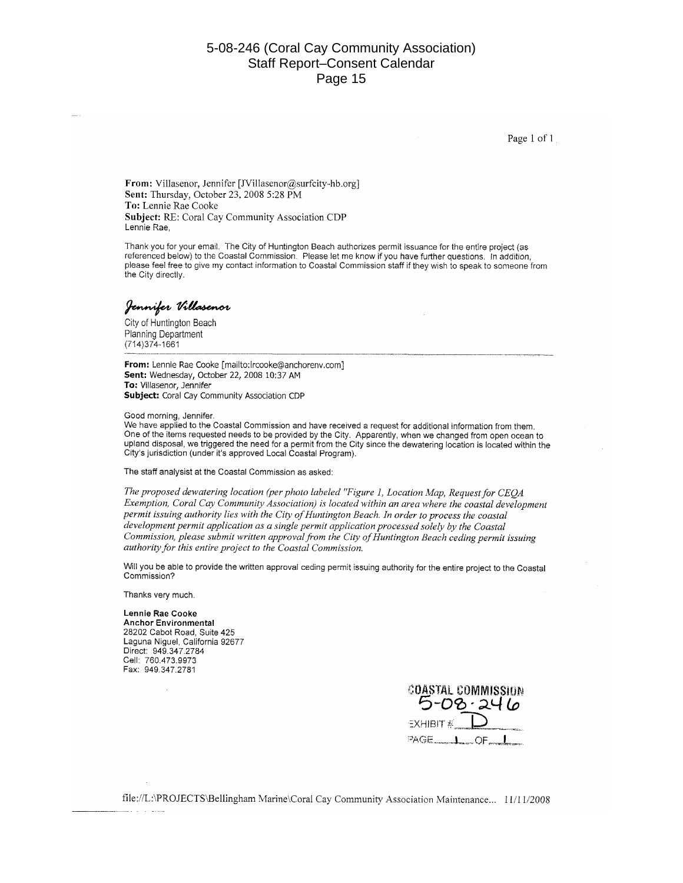Page 1 of 1

From: Villasenor, Jennifer [JVillasenor@surfcity-hb.org] Sent: Thursday, October 23, 2008 5:28 PM To: Lennie Rae Cooke Subject: RE: Coral Cay Community Association CDP Lennie Rae,

Thank you for your email. The City of Huntington Beach authorizes permit issuance for the entire project (as referenced below) to the Coastal Commission. Please let me know if you have further questions. In addition, please feel free to give my contact information to Coastal Commission staff if they wish to speak to someone from the City directly.

#### Jennifer Villasenor

City of Huntington Beach **Planning Department**  $(714)374 - 1661$ 

From: Lennie Rae Cooke [mailto:lrcooke@anchorenv.com] Sent: Wednesday, October 22, 2008 10:37 AM To: Villasenor, Jennifer Subject: Coral Cay Community Association CDP

Good morning, Jennifer.

We have applied to the Coastal Commission and have received a request for additional information from them. One of the items requested needs to be provided by the City. Apparently, when we changed from open ocean to upland disposal, we triggered the need for a permit from the City since the dewatering location is located within the City's jurisdiction (under it's approved Local Coastal Program).

The staff analysist at the Coastal Commission as asked:

The proposed dewatering location (per photo labeled "Figure 1, Location Map, Request for CEQA Exemption, Coral Cay Community Association) is located within an area where the coastal development permit issuing authority lies with the City of Huntington Beach. In order to process the coastal development permit application as a single permit application processed solely by the Coastal Commission, please submit written approval from the City of Huntington Beach ceding permit issuing authority for this entire project to the Coastal Commission.

Will you be able to provide the written approval ceding permit issuing authority for the entire project to the Coastal Commission?

Thanks very much.

a la característica

Lennie Rae Cooke **Anchor Environmental** 28202 Cabot Road, Suite 425 Laguna Niguel, California 92677 Direct: 949.347.2784 Cell: 760.473.9973

**COASTAL COMMISSION**  $5 - 08 - 246$  $EXHIBIT \# D$  $PAGE$ <sub> $-1$ </sub>OF<sub> $-1$ </sub>

file://L:\PROJECTS\Bellingham Marine\Coral Cay Community Association Maintenance... 11/11/2008